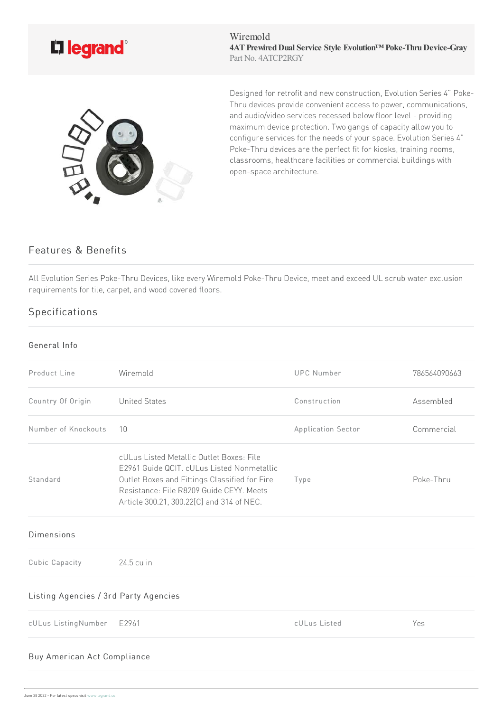

Wiremold **4ATPrewiredDual Service Style Evolution™ Poke-ThruDevice-Gray** Part No. 4ATCP2RGY



Designed for retrofit and new construction, Evolution Series 4" Poke-Thru devices provide convenient access to power, communications, and audio/video services recessed below floor level - providing maximum device protection. Two gangs of capacity allow you to configure services for the needs of your space. Evolution Series 4" Poke-Thru devices are the perfect fit for kiosks, training rooms, classrooms, healthcare facilities or commercial buildings with open-space architecture.

## Features & Benefits

All Evolution Series Poke-Thru Devices, like every Wiremold Poke-Thru Device, meet and exceed UL scrub water exclusion requirements for tile, carpet, and wood covered floors.

## Specifications

## General Info

| Product Line                          | Wiremold                                                                                                                                                                                                                         | <b>UPC Number</b>  | 786564090663 |  |
|---------------------------------------|----------------------------------------------------------------------------------------------------------------------------------------------------------------------------------------------------------------------------------|--------------------|--------------|--|
| Country Of Origin                     | <b>United States</b>                                                                                                                                                                                                             | Construction       | Assembled    |  |
| Number of Knockouts                   | 10                                                                                                                                                                                                                               | Application Sector | Commercial   |  |
| Standard                              | cULus Listed Metallic Outlet Boxes: File<br>E2961 Guide QCIT. cULus Listed Nonmetallic<br>Outlet Boxes and Fittings Classified for Fire<br>Resistance: File R8209 Guide CEYY, Meets<br>Article 300.21, 300.22[C] and 314 of NEC. | Type               | Poke-Thru    |  |
| <b>Dimensions</b>                     |                                                                                                                                                                                                                                  |                    |              |  |
| Cubic Capacity                        | 24.5 cu in                                                                                                                                                                                                                       |                    |              |  |
| Listing Agencies / 3rd Party Agencies |                                                                                                                                                                                                                                  |                    |              |  |
| cULus ListingNumber                   | E2961                                                                                                                                                                                                                            | cULus Listed       | Yes          |  |
| Buy American Act Compliance           |                                                                                                                                                                                                                                  |                    |              |  |
|                                       |                                                                                                                                                                                                                                  |                    |              |  |